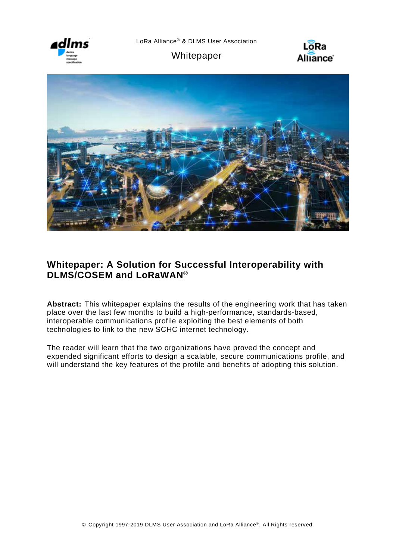

Whitepaper





## **Whitepaper: A Solution for Successful Interoperability with DLMS/COSEM and LoRaWAN®**

**Abstract:** This whitepaper explains the results of the engineering work that has taken place over the last few months to build a high-performance, standards-based, interoperable communications profile exploiting the best elements of both technologies to link to the new SCHC internet technology.

The reader will learn that the two organizations have proved the concept and expended significant efforts to design a scalable, secure communications profile, and will understand the key features of the profile and benefits of adopting this solution.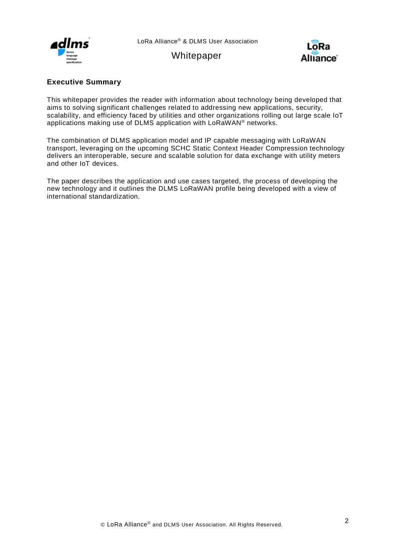

Whitepaper



## <span id="page-1-0"></span>**Executive Summary**

This whitepaper provides the reader with information about technology being developed that aims to solving significant challenges related to addressing new applications, security, scalability, and efficiency faced by utilities and other organizations rolling out large scale IoT applications making use of DLMS application with LoRaWAN® networks.

The combination of DLMS application model and IP capable messaging with LoRaWAN transport, leveraging on the upcoming SCHC Static Context Header Compression technology delivers an interoperable, secure and scalable solution for data exchange with utility meters and other IoT devices.

The paper describes the application and use cases targeted, the process of developing the new technology and it outlines the DLMS LoRaWAN profile being developed with a view of international standardization.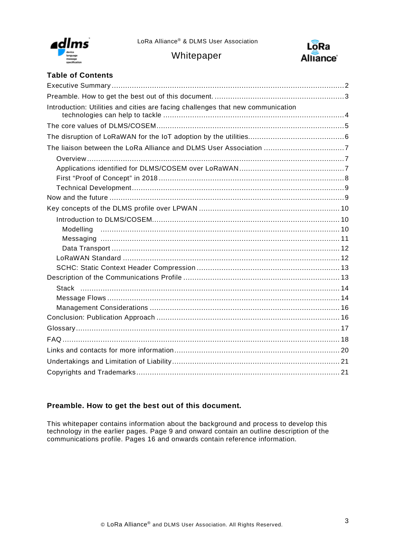

Whitepaper



## **Table of Contents**

| Introduction: Utilities and cities are facing challenges that new communication |
|---------------------------------------------------------------------------------|
|                                                                                 |
|                                                                                 |
|                                                                                 |
|                                                                                 |
|                                                                                 |
|                                                                                 |
|                                                                                 |
|                                                                                 |
|                                                                                 |
|                                                                                 |
|                                                                                 |
|                                                                                 |
|                                                                                 |
|                                                                                 |
|                                                                                 |
|                                                                                 |
|                                                                                 |
|                                                                                 |
|                                                                                 |
|                                                                                 |
|                                                                                 |
|                                                                                 |
|                                                                                 |
|                                                                                 |
|                                                                                 |

## <span id="page-2-0"></span>**Preamble. How to get the best out of this document.**

This whitepaper contains information about the background and process to develop this technology in the earlier pages. Page 9 and onward contain an outline description of the communications profile. Pages 16 and onwards contain reference information.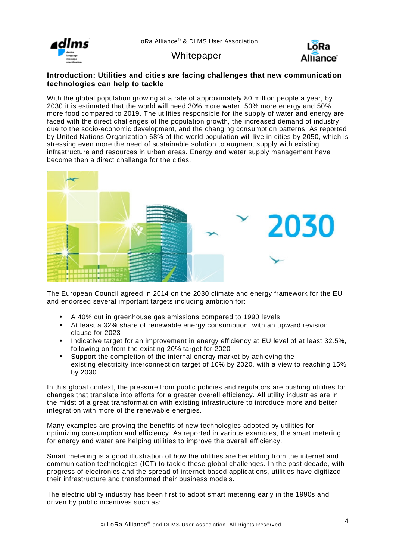

Alliance<sup>®</sup>

**Whitepaper** 

### <span id="page-3-0"></span>**Introduction: Utilities and cities are facing challenges that new communication technologies can help to tackle**

With the global population growing at a rate of approximately 80 million people a year, by 2030 it is estimated that the world will need 30% more water, 50% more energy and 50% more food compared to 2019. The utilities responsible for the supply of water and energy are faced with the direct challenges of the population growth, the increased demand of industry due to the socio-economic development, and the changing consumption patterns. As reported by United Nations Organization 68% of the world population will live in cities by 2050, which is stressing even more the need of sustainable solution to augment supply with existing infrastructure and resources in urban areas. Energy and water supply management have become then a direct challenge for the cities.



The European Council agreed in 2014 on the 2030 climate and energy framework for the EU and endorsed several important targets including ambition for:

- A 40% cut in greenhouse gas emissions compared to 1990 levels
- At least a 32% share of renewable energy consumption, with an upward revision clause for 2023
- Indicative target for an improvement in energy efficiency at EU level of at least 32.5%, following on from the existing 20% target for 2020
- Support the completion of the internal energy market by achieving the existing electricity interconnection target of 10% by 2020, with a view to reaching 15% by 2030.

In this global context, the pressure from public policies and regulators are pushing utilities for changes that translate into efforts for a greater overall efficiency. All utility industries are in the midst of a great transformation with existing infrastructure to introduce more and better integration with more of the renewable energies.

Many examples are proving the benefits of new technologies adopted by utilities for optimizing consumption and efficiency. As reported in various examples, the smart metering for energy and water are helping utilities to improve the overall efficiency.

Smart metering is a good illustration of how the utilities are benefiting from the internet and communication technologies (ICT) to tackle these global challenges. In the past decade, with progress of electronics and the spread of internet-based applications, utilities have digitized their infrastructure and transformed their business models.

The electric utility industry has been first to adopt smart metering early in the 1990s and driven by public incentives such as: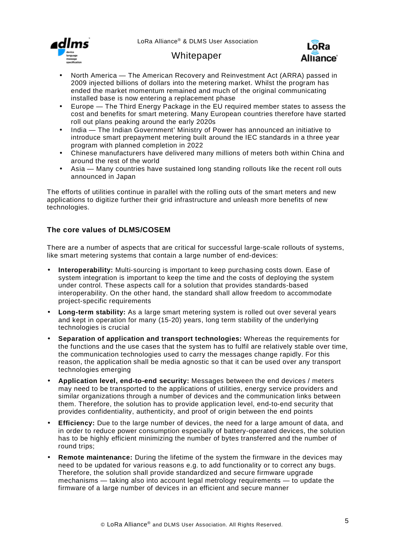





- North America The American Recovery and Reinvestment Act (ARRA) passed in 2009 injected billions of dollars into the metering market. Whilst the program has ended the market momentum remained and much of the original communicating installed base is now entering a replacement phase
- Europe The Third Energy Package in the EU required member states to assess the cost and benefits for smart metering. Many European countries therefore have started roll out plans peaking around the early 2020s
- India The Indian Government' Ministry of Power has announced an initiative to introduce smart prepayment metering built around the IEC standards in a three year program with planned completion in 2022
- Chinese manufacturers have delivered many millions of meters both within China and around the rest of the world
- Asia Many countries have sustained long standing rollouts like the recent roll outs announced in Japan

The efforts of utilities continue in parallel with the rolling outs of the smart meters and new applications to digitize further their grid infrastructure and unleash more benefits of new technologies.

## <span id="page-4-0"></span>**The core values of DLMS/COSEM**

There are a number of aspects that are critical for successful large-scale rollouts of systems, like smart metering systems that contain a large number of end-devices:

- **Interoperability:** Multi-sourcing is important to keep purchasing costs down. Ease of system integration is important to keep the time and the costs of deploying the system under control. These aspects call for a solution that provides standards-based interoperability. On the other hand, the standard shall allow freedom to accommodate project-specific requirements
- **Long-term stability:** As a large smart metering system is rolled out over several years and kept in operation for many (15-20) years, long term stability of the underlying technologies is crucial
- **Separation of application and transport technologies:** Whereas the requirements for the functions and the use cases that the system has to fulfil are relatively stable over time, the communication technologies used to carry the messages change rapidly. For this reason, the application shall be media agnostic so that it can be used over any transport technologies emerging
- **Application level, end-to-end security:** Messages between the end devices / meters may need to be transported to the applications of utilities, energy service providers and similar organizations through a number of devices and the communication links between them. Therefore, the solution has to provide application level, end-to-end security that provides confidentiality, authenticity, and proof of origin between the end points
- **Efficiency:** Due to the large number of devices, the need for a large amount of data, and in order to reduce power consumption especially of battery-operated devices, the solution has to be highly efficient minimizing the number of bytes transferred and the number of round trips;
- **Remote maintenance:** During the lifetime of the system the firmware in the devices may need to be updated for various reasons e.g. to add functionality or to correct any bugs. Therefore, the solution shall provide standardized and secure firmware upgrade mechanisms — taking also into account legal metrology requirements — to update the firmware of a large number of devices in an efficient and secure manner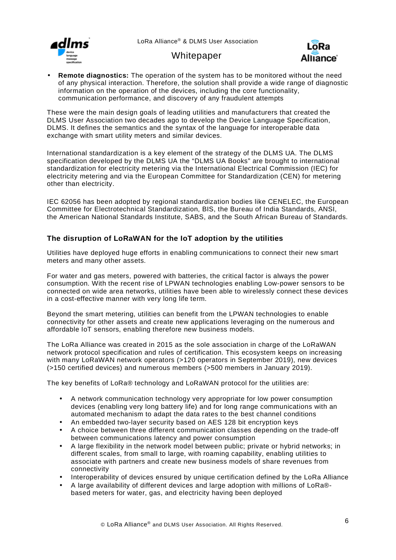





**Remote diagnostics:** The operation of the system has to be monitored without the need of any physical interaction. Therefore, the solution shall provide a wide range of diagnostic information on the operation of the devices, including the core functionality, communication performance, and discovery of any fraudulent attempts

These were the main design goals of leading utilities and manufacturers that created the DLMS User Association two decades ago to develop the Device Language Specification, DLMS. It defines the semantics and the syntax of the language for interoperable data exchange with smart utility meters and similar devices.

International standardization is a key element of the strategy of the DLMS UA. The DLMS specification developed by the DLMS UA the "DLMS UA Books" are brought to international standardization for electricity metering via the International Electrical Commission (IEC) for electricity metering and via the European Committee for Standardization (CEN) for metering other than electricity.

IEC 62056 has been adopted by regional standardization bodies like CENELEC, the European Committee for Electrotechnical Standardization, BIS, the Bureau of India Standards, ANSI, the American National Standards Institute, SABS, and the South African Bureau of Standards.

## <span id="page-5-0"></span>**The disruption of LoRaWAN for the IoT adoption by the utilities**

Utilities have deployed huge efforts in enabling communications to connect their new smart meters and many other assets.

For water and gas meters, powered with batteries, the critical factor is always the power consumption. With the recent rise of LPWAN technologies enabling Low-power sensors to be connected on wide area networks, utilities have been able to wirelessly connect these devices in a cost-effective manner with very long life term.

Beyond the smart metering, utilities can benefit from the LPWAN technologies to enable connectivity for other assets and create new applications leveraging on the numerous and affordable IoT sensors, enabling therefore new business models.

The LoRa Alliance was created in 2015 as the sole association in charge of the LoRaWAN network protocol specification and rules of certification. This ecosystem keeps on increasing with many LoRaWAN network operators (>120 operators in September 2019), new devices (>150 certified devices) and numerous members (>500 members in January 2019).

The key benefits of LoRa® technology and LoRaWAN protocol for the utilities are:

- A network communication technology very appropriate for low power consumption  $\mathbf{r}^{\prime}$ devices (enabling very long battery life) and for long range communications with an automated mechanism to adapt the data rates to the best channel conditions
- An embedded two-layer security based on AES 128 bit encryption keys
- A choice between three different communication classes depending on the trade-off between communications latency and power consumption
- A large flexibility in the network model between public; private or hybrid networks; in different scales, from small to large, with roaming capability, enabling utilities to associate with partners and create new business models of share revenues from connectivity
- Interoperability of devices ensured by unique certification defined by the LoRa Alliance
- A large availability of different devices and large adoption with millions of LoRa® based meters for water, gas, and electricity having been deployed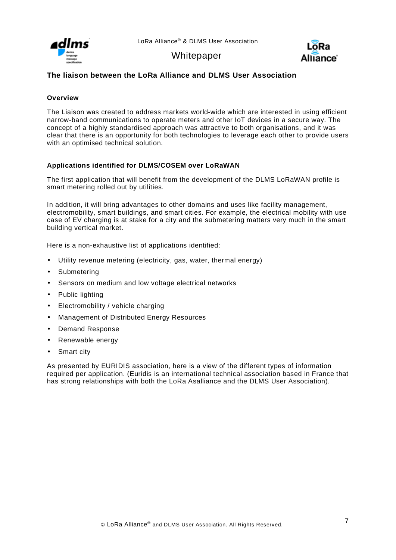



## <span id="page-6-0"></span>**The liaison between the LoRa Alliance and DLMS User Association**

#### <span id="page-6-1"></span>**Overview**

The Liaison was created to address markets world-wide which are interested in using efficient narrow-band communications to operate meters and other IoT devices in a secure way. The concept of a highly standardised approach was attractive to both organisations, and it was clear that there is an opportunity for both technologies to leverage each other to provide users with an optimised technical solution.

### <span id="page-6-2"></span>**Applications identified for DLMS/COSEM over LoRaWAN**

The first application that will benefit from the development of the DLMS LoRaWAN profile is smart metering rolled out by utilities.

In addition, it will bring advantages to other domains and uses like facility management, electromobility, smart buildings, and smart cities. For example, the electrical mobility with use case of EV charging is at stake for a city and the submetering matters very much in the smart building vertical market.

Here is a non-exhaustive list of applications identified:

- Utility revenue metering (electricity, gas, water, thermal energy)
- Submetering
- Sensors on medium and low voltage electrical networks
- Public lighting
- Electromobility / vehicle charging
- Management of Distributed Energy Resources
- Demand Response
- Renewable energy
- Smart city

As presented by EURIDIS association, here is a view of the different types of information required per application. (Euridis is an international technical association based in France that has strong relationships with both the LoRa Asalliance and the DLMS User Association).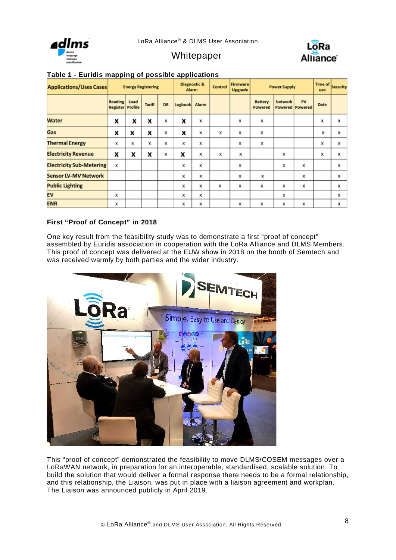





| <b>Applications/Uses Cases</b>  | <b>Energy Registering</b>                 |      |               | Diagnostic &<br>Alarm |         | Control | Firmware<br>Upgrade | <b>Power Supply</b> |                           | Time of Security<br>use |                                |      |   |
|---------------------------------|-------------------------------------------|------|---------------|-----------------------|---------|---------|---------------------|---------------------|---------------------------|-------------------------|--------------------------------|------|---|
|                                 | <b>Reading</b><br><b>Register Profile</b> | Load | <b>Tariff</b> | <b>DR</b>             | Logbook | Alarm   |                     |                     | <b>Battery</b><br>Powered | <b>Network</b>          | PV<br><b>Powered   Powered</b> | Date |   |
| <b>Water</b>                    | x                                         | x    | x             | x                     | X       | x       |                     | x                   | x                         |                         |                                | x    | x |
| Gas                             | x                                         | x    | x             | x                     | x       | x       | x                   | x                   | x                         |                         |                                | x    | x |
| <b>Thermal Energy</b>           | x                                         | х    | x             | х                     | х       | x       |                     | x                   | x                         |                         |                                | x    | x |
| <b>Electricity Revenue</b>      | x                                         | x    | x             | x                     | x       | x       | x                   | x                   |                           | x                       |                                | x    | x |
| <b>Electricity Sub-Metering</b> | x                                         |      |               |                       | х       | x       |                     | x                   |                           | x                       | x                              |      | x |
| <b>Sensor LV-MV Network</b>     |                                           |      |               |                       | х       | x       |                     | x                   | x                         |                         | x                              |      | x |
| <b>Public Lighting</b>          |                                           |      |               |                       | х       | x       | x                   | x                   | x                         | х                       | x                              |      | x |
| EV                              | x                                         |      |               |                       | х       | x       |                     |                     |                           | х                       |                                |      | x |
| <b>ENR</b>                      | x                                         |      |               |                       | х       | x       |                     | x                   | x                         | x                       | x                              |      | x |

## **Table 1 - Euridis mapping of possible applications**

### <span id="page-7-0"></span>**First "Proof of Concept" in 2018**

One key result from the feasibility study was to demonstrate a first "proof of concept" assembled by Euridis association in cooperation with the LoRa Alliance and DLMS Members. This proof of concept was delivered at the EUW show in 2018 on the booth of Semtech and was received warmly by both parties and the wider industry.



This "proof of concept" demonstrated the feasibility to move DLMS/COSEM messages over a LoRaWAN network, in preparation for an interoperable, standardised, scalable solution. To build the solution that would deliver a formal response there needs to be a formal relationship, and this relationship, the Liaison, was put in place with a liaison agreement and workplan. The Liaison was announced publicly in April 2019.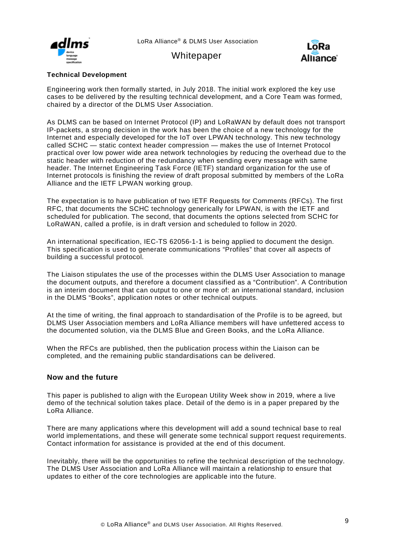

## Whitepaper



### <span id="page-8-0"></span>**Technical Development**

Engineering work then formally started, in July 2018. The initial work explored the key use cases to be delivered by the resulting technical development, and a Core Team was formed, chaired by a director of the DLMS User Association.

As DLMS can be based on Internet Protocol (IP) and LoRaWAN by default does not transport IP-packets, a strong decision in the work has been the choice of a new technology for the Internet and especially developed for the IoT over LPWAN technology. This new technology called SCHC — static context header compression — makes the use of Internet Protocol practical over low power wide area network technologies by reducing the overhead due to the static header with reduction of the redundancy when sending every message with same header. The Internet Engineering Task Force (IETF) standard organization for the use of Internet protocols is finishing the review of draft proposal submitted by members of the LoRa Alliance and the IETF LPWAN working group.

The expectation is to have publication of two IETF Requests for Comments (RFCs). The first RFC, that documents the SCHC technology generically for LPWAN, is with the IETF and scheduled for publication. The second, that documents the options selected from SCHC for LoRaWAN, called a profile, is in draft version and scheduled to follow in 2020.

An international specification, IEC-TS 62056-1-1 is being applied to document the design. This specification is used to generate communications "Profiles" that cover all aspects of building a successful protocol.

The Liaison stipulates the use of the processes within the DLMS User Association to manage the document outputs, and therefore a document classified as a "Contribution". A Contribution is an interim document that can output to one or more of: an international standard, inclusion in the DLMS "Books", application notes or other technical outputs.

At the time of writing, the final approach to standardisation of the Profile is to be agreed, but DLMS User Association members and LoRa Alliance members will have unfettered access to the documented solution, via the DLMS Blue and Green Books, and the LoRa Alliance.

When the RFCs are published, then the publication process within the Liaison can be completed, and the remaining public standardisations can be delivered.

### <span id="page-8-1"></span>**Now and the future**

This paper is published to align with the European Utility Week show in 2019, where a live demo of the technical solution takes place. Detail of the demo is in a paper prepared by the LoRa Alliance.

There are many applications where this development will add a sound technical base to real world implementations, and these will generate some technical support request requirements. Contact information for assistance is provided at the end of this document.

Inevitably, there will be the opportunities to refine the technical description of the technology. The DLMS User Association and LoRa Alliance will maintain a relationship to ensure that updates to either of the core technologies are applicable into the future.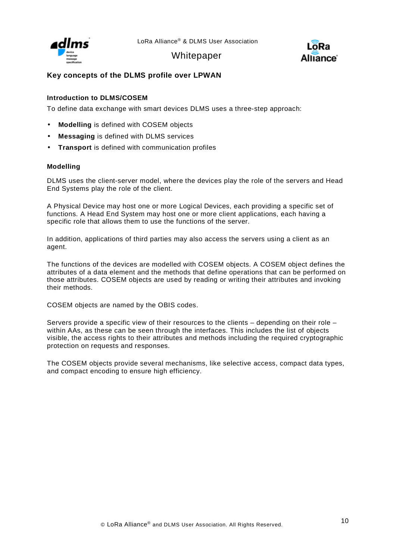

**Whitepaper** 



## <span id="page-9-0"></span>**Key concepts of the DLMS profile over LPWAN**

### <span id="page-9-1"></span>**Introduction to DLMS/COSEM**

To define data exchange with smart devices DLMS uses a three-step approach:

- **Modelling** is defined with COSEM objects
- **Messaging** is defined with DLMS services
- **Transport** is defined with communication profiles

#### <span id="page-9-2"></span>**Modelling**

DLMS uses the client-server model, where the devices play the role of the servers and Head End Systems play the role of the client.

A Physical Device may host one or more Logical Devices, each providing a specific set of functions. A Head End System may host one or more client applications, each having a specific role that allows them to use the functions of the server.

In addition, applications of third parties may also access the servers using a client as an agent.

The functions of the devices are modelled with COSEM objects. A COSEM object defines the attributes of a data element and the methods that define operations that can be performed on those attributes. COSEM objects are used by reading or writing their attributes and invoking their methods.

COSEM objects are named by the OBIS codes.

Servers provide a specific view of their resources to the clients – depending on their role – within AAs, as these can be seen through the interfaces. This includes the list of objects visible, the access rights to their attributes and methods including the required cryptographic protection on requests and responses.

The COSEM objects provide several mechanisms, like selective access, compact data types, and compact encoding to ensure high efficiency.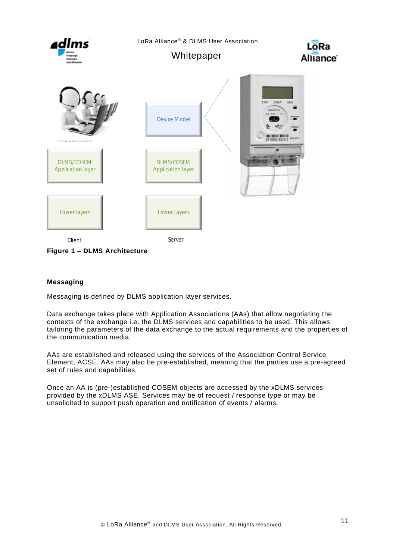

### **Figure 1 – DLMS Architecture**

### <span id="page-10-0"></span>**Messaging**

Messaging is defined by DLMS application layer services.

Data exchange takes place with Application Associations (AAs) that allow negotiating the contexts of the exchange i.e. the DLMS services and capabilities to be used. This allows tailoring the parameters of the data exchange to the actual requirements and the properties of the communication media.

AAs are established and released using the services of the Association Control Service Element, ACSE. AAs may also be pre-established, meaning that the parties use a pre-agreed set of rules and capabilities.

Once an AA is (pre-)established COSEM objects are accessed by the xDLMS services provided by the xDLMS ASE. Services may be of request / response type or may be unsolicited to support push operation and notification of events / alarms.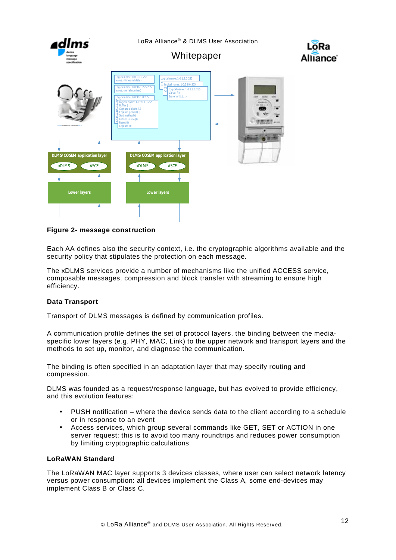

**Figure 2- message construction**

Each AA defines also the security context, i.e. the cryptographic algorithms available and the security policy that stipulates the protection on each message.

The xDLMS services provide a number of mechanisms like the unified ACCESS service, composable messages, compression and block transfer with streaming to ensure high efficiency.

### <span id="page-11-0"></span>**Data Transport**

Transport of DLMS messages is defined by communication profiles.

A communication profile defines the set of protocol layers, the binding between the mediaspecific lower layers (e.g. PHY, MAC, Link) to the upper network and transport layers and the methods to set up, monitor, and diagnose the communication.

The binding is often specified in an adaptation layer that may specify routing and compression.

DLMS was founded as a request/response language, but has evolved to provide efficiency, and this evolution features:

- PUSH notification where the device sends data to the client according to a schedule or in response to an event
- Access services, which group several commands like GET, SET or ACTION in one server request: this is to avoid too many roundtrips and reduces power consumption by limiting cryptographic calculations

### <span id="page-11-1"></span>**LoRaWAN Standard**

The LoRaWAN MAC layer supports 3 devices classes, where user can select network latency versus power consumption: all devices implement the Class A, some end-devices may implement Class B or Class C.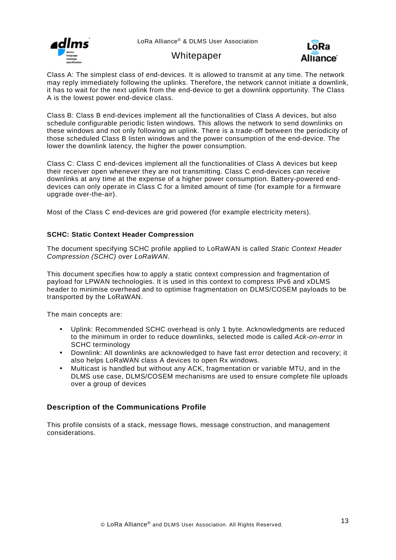

## **Whitepaper**



Class A: The simplest class of end-devices. It is allowed to transmit at any time. The network may reply immediately following the uplinks. Therefore, the network cannot initiate a downlink, it has to wait for the next uplink from the end-device to get a downlink opportunity. The Class A is the lowest power end-device class.

Class B: Class B end-devices implement all the functionalities of Class A devices, but also schedule configurable periodic listen windows. This allows the network to send downlinks on these windows and not only following an uplink. There is a trade-off between the periodicity of those scheduled Class B listen windows and the power consumption of the end-device. The lower the downlink latency, the higher the power consumption.

Class C: Class C end-devices implement all the functionalities of Class A devices but keep their receiver open whenever they are not transmitting. Class C end-devices can receive downlinks at any time at the expense of a higher power consumption. Battery-powered enddevices can only operate in Class C for a limited amount of time (for example for a firmware upgrade over-the-air).

Most of the Class C end-devices are grid powered (for example electricity meters).

### <span id="page-12-0"></span>**SCHC: Static Context Header Compression**

The document specifying SCHC profile applied to LoRaWAN is called *Static Context Header Compression (SCHC) over LoRaWAN*.

This document specifies how to apply a static context compression and fragmentation of payload for LPWAN technologies. It is used in this context to compress IPv6 and xDLMS header to minimise overhead and to optimise fragmentation on DLMS/COSEM payloads to be transported by the LoRaWAN.

The main concepts are:

- Uplink: Recommended SCHC overhead is only 1 byte. Acknowledgments are reduced  $\mathbf{r}$ to the minimum in order to reduce downlinks, selected mode is called *Ack-on-error* in SCHC terminology
- Downlink: All downlinks are acknowledged to have fast error detection and recovery; it also helps LoRaWAN class A devices to open Rx windows.
- Multicast is handled but without any ACK, fragmentation or variable MTU, and in the DLMS use case, DLMS/COSEM mechanisms are used to ensure complete file uploads over a group of devices

### <span id="page-12-1"></span>**Description of the Communications Profile**

This profile consists of a stack, message flows, message construction, and management considerations.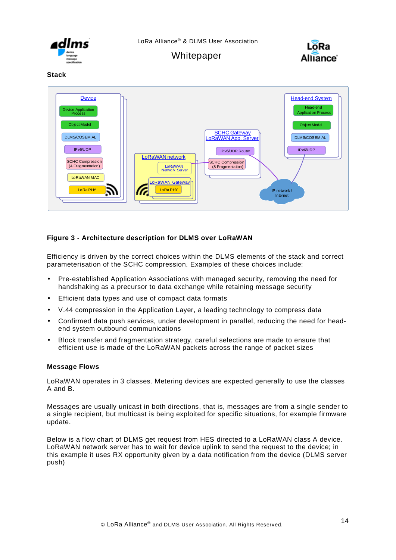



#### <span id="page-13-0"></span>**Stack**



### **Figure 3 - Architecture description for DLMS over LoRaWAN**

Efficiency is driven by the correct choices within the DLMS elements of the stack and correct parameterisation of the SCHC compression. Examples of these choices include:

- Pre-established Application Associations with managed security, removing the need for handshaking as a precursor to data exchange while retaining message security
- Efficient data types and use of compact data formats
- V.44 compression in the Application Layer, a leading technology to compress data
- Confirmed data push services, under development in parallel, reducing the need for headend system outbound communications
- Block transfer and fragmentation strategy, careful selections are made to ensure that efficient use is made of the LoRaWAN packets across the range of packet sizes

### <span id="page-13-1"></span>**Message Flows**

LoRaWAN operates in 3 classes. Metering devices are expected generally to use the classes A and B.

Messages are usually unicast in both directions, that is, messages are from a single sender to a single recipient, but multicast is being exploited for specific situations, for example firmware update.

Below is a flow chart of DLMS get request from HES directed to a LoRaWAN class A device. LoRaWAN network server has to wait for device uplink to send the request to the device; in this example it uses RX opportunity given by a data notification from the device (DLMS server push)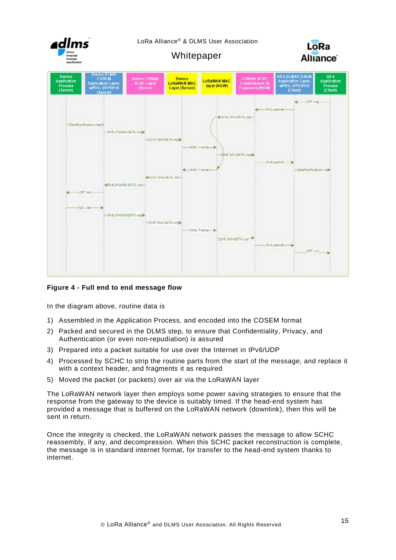

### **Figure 4 - Full end to end message flow**

In the diagram above, routine data is

- 1) Assembled in the Application Process, and encoded into the COSEM format
- 2) Packed and secured in the DLMS step, to ensure that Confidentiality, Privacy, and Authentication (or even non-repudiation) is assured
- 3) Prepared into a packet suitable for use over the Internet in IPv6/UDP
- 4) Processed by SCHC to strip the routine parts from the start of the message, and replace it with a context header, and fragments it as required
- 5) Moved the packet (or packets) over air via the LoRaWAN layer

The LoRaWAN network layer then employs some power saving strategies to ensure that the response from the gateway to the device is suitably timed. If the head-end system has provided a message that is buffered on the LoRaWAN network (downlink), then this will be sent in return.

<span id="page-14-0"></span>Once the integrity is checked, the LoRaWAN network passes the message to allow SCHC reassembly, if any, and decompression. When this SCHC packet reconstruction is complete, the message is in standard internet format, for transfer to the head-end system thanks to internet.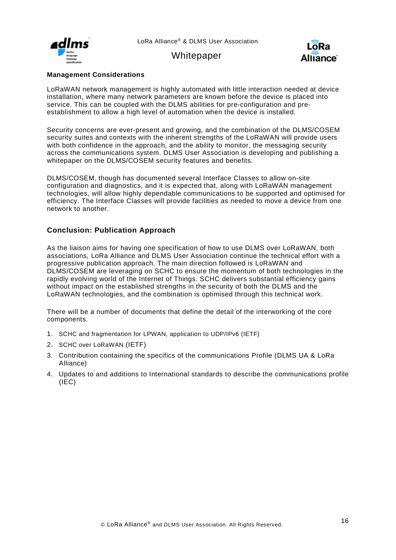

**Whitepaper** 



### **Management Considerations**

LoRaWAN network management is highly automated with little interaction needed at device installation, where many network parameters are known before the device is placed into service. This can be coupled with the DLMS abilities for pre-configuration and preestablishment to allow a high level of automation when the device is installed.

Security concerns are ever-present and growing, and the combination of the DLMS/COSEM security suites and contexts with the inherent strengths of the LoRaWAN will provide users with both confidence in the approach, and the ability to monitor, the messaging security across the communications system. DLMS User Association is developing and publishing a whitepaper on the DLMS/COSEM security features and benefits.

DLMS/COSEM, though has documented several Interface Classes to allow on-site configuration and diagnostics, and it is expected that, along with LoRaWAN management technologies, will allow highly dependable communications to be supported and optimised for efficiency. The Interface Classes will provide facilities as needed to move a device from one network to another.

### <span id="page-15-0"></span>**Conclusion: Publication Approach**

As the liaison aims for having one specification of how to use DLMS over LoRaWAN, both associations, LoRa Alliance and DLMS User Association continue the technical effort with a progressive publication approach. The main direction followed is LoRaWAN and DLMS/COSEM are leveraging on SCHC to ensure the momentum of both technologies in the rapidly evolving world of the Internet of Things. SCHC delivers substantial efficiency gains without impact on the established strengths in the security of both the DLMS and the LoRaWAN technologies, and the combination is optimised through this technical work.

There will be a number of documents that define the detail of the interworking of the core components.

- 1. SCHC and fragmentation for LPWAN, application to UDP/IPv6 (IETF)
- 2. SCHC over LoRaWAN (IETF)
- 3. Contribution containing the specifics of the communications Profile (DLMS UA & LoRa Alliance)
- 4. Updates to and additions to International standards to describe the communications profile (IEC)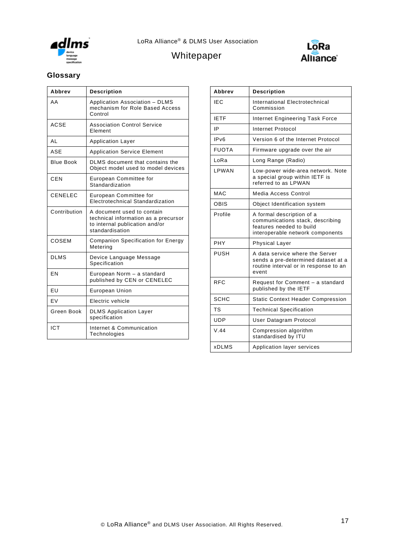



## <span id="page-16-0"></span>**Glossary**

| Abbrev           | <b>Description</b>                                                                                                      |
|------------------|-------------------------------------------------------------------------------------------------------------------------|
| AA               | Application Association - DLMS<br>mechanism for Role Based Access<br>Control                                            |
| ACSE             | <b>Association Control Service</b><br>Element                                                                           |
| AI               | <b>Application Layer</b>                                                                                                |
| ASE              | <b>Application Service Element</b>                                                                                      |
| <b>Blue Book</b> | DLMS document that contains the<br>Object model used to model devices                                                   |
| CEN              | European Committee for<br>Standardization                                                                               |
| <b>CENELEC</b>   | European Committee for<br>Electrotechnical Standardization                                                              |
| Contribution     | A document used to contain<br>technical information as a precursor<br>to internal publication and/or<br>standardisation |
| COSEM            | <b>Companion Specification for Energy</b><br>Metering                                                                   |
| <b>DLMS</b>      | Device Language Message<br>Specification                                                                                |
| EN               | European Norm - a standard<br>published by CEN or CENELEC                                                               |
| EU               | <b>European Union</b>                                                                                                   |
| EV               | Electric vehicle                                                                                                        |
| Green Book       | <b>DLMS</b> Application Layer<br>specification                                                                          |
| <b>ICT</b>       | Internet & Communication<br>Technologies                                                                                |

| Abbrev           | <b>Description</b>                                                                                                            |
|------------------|-------------------------------------------------------------------------------------------------------------------------------|
| IEC              | <b>International Electrotechnical</b><br>Commission                                                                           |
| <b>IETF</b>      | Internet Engineering Task Force                                                                                               |
| ΙP               | <b>Internet Protocol</b>                                                                                                      |
| IP <sub>v6</sub> | Version 6 of the Internet Protocol                                                                                            |
| <b>FUOTA</b>     | Firmware upgrade over the air                                                                                                 |
| LoRa             | Long Range (Radio)                                                                                                            |
| LPWAN            | Low-power wide-area network. Note<br>a special group within IETF is<br>referred to as LPWAN                                   |
| MAC              | Media Access Control                                                                                                          |
| OBIS             | Object Identification system                                                                                                  |
| Profile          | A formal description of a<br>communications stack, describing<br>features needed to build<br>interoperable network components |
| PHY              | <b>Physical Layer</b>                                                                                                         |
| PUSH             | A data service where the Server<br>sends a pre-determined dataset at a<br>routine interval or in response to an<br>event      |
| <b>RFC</b>       | Request for Comment - a standard<br>published by the IETF                                                                     |
| SCHC             | <b>Static Context Header Compression</b>                                                                                      |
| TS               | <b>Technical Specification</b>                                                                                                |
| UDP              | User Datagram Protocol                                                                                                        |
| V.44             | Compression algorithm<br>standardised by ITU                                                                                  |
| <b>xDLMS</b>     | Application layer services                                                                                                    |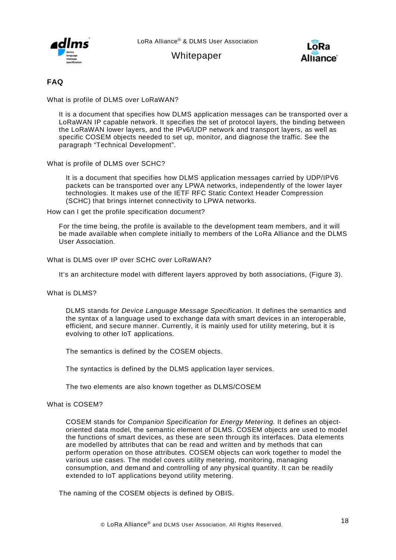



### <span id="page-17-0"></span>**FAQ**

What is profile of DLMS over LoRaWAN?

It is a document that specifies how DLMS application messages can be transported over a LoRaWAN IP capable network. It specifies the set of protocol layers, the binding between the LoRaWAN lower layers, and the IPv6/UDP network and transport layers, as well as specific COSEM objects needed to set up, monitor, and diagnose the traffic. See the paragraph "Technical Development".

What is profile of DLMS over SCHC?

It is a document that specifies how DLMS application messages carried by UDP/IPV6 packets can be transported over any LPWA networks, independently of the lower layer technologies. It makes use of the IETF RFC Static Context Header Compression (SCHC) that brings internet connectivity to LPWA networks.

How can I get the profile specification document?

For the time being, the profile is available to the development team members, and it will be made available when complete initially to members of the LoRa Alliance and the DLMS User Association.

#### What is DLMS over IP over SCHC over LoRaWAN?

It's an architecture model with different layers approved by both associations, (Figure 3).

What is DLMS?

DLMS stands for *Device Language Message Specification.* It defines the semantics and the syntax of a language used to exchange data with smart devices in an interoperable, efficient, and secure manner. Currently, it is mainly used for utility metering, but it is evolving to other IoT applications.

The semantics is defined by the COSEM objects.

The syntactics is defined by the DLMS application layer services.

The two elements are also known together as DLMS/COSEM

What is COSEM?

COSEM stands for *Companion Specification for Energy Metering.* It defines an objectoriented data model, the semantic element of DLMS. COSEM objects are used to model the functions of smart devices, as these are seen through its interfaces. Data elements are modelled by attributes that can be read and written and by methods that can perform operation on those attributes. COSEM objects can work together to model the various use cases. The model covers utility metering, monitoring, managing consumption, and demand and controlling of any physical quantity. It can be readily extended to IoT applications beyond utility metering.

The naming of the COSEM objects is defined by OBIS.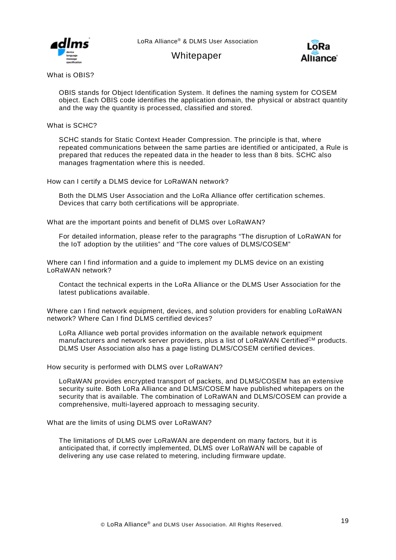



What is OBIS?

OBIS stands for Object Identification System. It defines the naming system for COSEM object. Each OBIS code identifies the application domain, the physical or abstract quantity and the way the quantity is processed, classified and stored.

What is SCHC?

SCHC stands for Static Context Header Compression. The principle is that, where repeated communications between the same parties are identified or anticipated, a Rule is prepared that reduces the repeated data in the header to less than 8 bits. SCHC also manages fragmentation where this is needed.

How can I certify a DLMS device for LoRaWAN network?

Both the DLMS User Association and the LoRa Alliance offer certification schemes. Devices that carry both certifications will be appropriate.

What are the important points and benefit of DLMS over LoRaWAN?

For detailed information, please refer to the paragraphs "The disruption of LoRaWAN for the IoT adoption by the utilities" and "The core values of DLMS/COSEM"

Where can I find information and a guide to implement my DLMS device on an existing LoRaWAN network?

Contact the technical experts in the LoRa Alliance or the DLMS User Association for the latest publications available.

Where can I find network equipment, devices, and solution providers for enabling LoRaWAN network? Where Can I find DLMS certified devices?

LoRa Alliance web portal provides information on the available network equipment manufacturers and network server providers, plus a list of  $LoRAWAN$  Certified<sup>CM</sup> products. DLMS User Association also has a page listing DLMS/COSEM certified devices.

How security is performed with DLMS over LoRaWAN?

LoRaWAN provides encrypted transport of packets, and DLMS/COSEM has an extensive security suite. Both LoRa Alliance and DLMS/COSEM have published whitepapers on the security that is available. The combination of LoRaWAN and DLMS/COSEM can provide a comprehensive, multi-layered approach to messaging security.

What are the limits of using DLMS over LoRaWAN?

The limitations of DLMS over LoRaWAN are dependent on many factors, but it is anticipated that, if correctly implemented, DLMS over LoRaWAN will be capable of delivering any use case related to metering, including firmware update.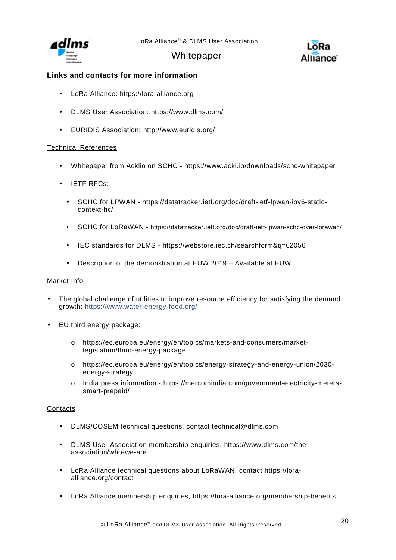



## <span id="page-19-0"></span>**Links and contacts for more information**

- LoRa Alliance: [https://lora-alliance.org](https://lora-alliance.org/) t.
- DLMS User Association: <https://www.dlms.com/> t,
- EURIDIS Association: <http://www.euridis.org/>  $\mathbb{Z}^{\mathbb{Z}}$

#### Technical References

- Whitepaper from Acklio on SCHC <https://www.ackl.io/downloads/schc-whitepaper>  $\mathbf{r}$
- IETF RFCs:  $\mathbf{r}$ 
	- SCHC for LPWAN [https://datatracker.ietf.org/doc/draft-ietf-lpwan-ipv6-static](https://datatracker.ietf.org/doc/draft-ietf-lpwan-ipv6-static-context-hc/)[context-hc/](https://datatracker.ietf.org/doc/draft-ietf-lpwan-ipv6-static-context-hc/)
	- SCHC for LoRaWAN <https://datatracker.ietf.org/doc/draft-ietf-lpwan-schc-over-lorawan/> l,
	- IEC standards for DLMS <https://webstore.iec.ch/searchform&q=62056>
	- Description of the demonstration at EUW 2019 Available at EUW l,

#### Market Info

- The global challenge of utilities to improve resource efficiency for satisfying the demand growth:<https://www.water-energy-food.org/>
- EU third energy package:
	- o [https://ec.europa.eu/energy/en/topics/markets-and-consumers/market](https://ec.europa.eu/energy/en/topics/markets-and-consumers/market-legislation/third-energy-package)[legislation/third-energy-package](https://ec.europa.eu/energy/en/topics/markets-and-consumers/market-legislation/third-energy-package)
	- o [https://ec.europa.eu/energy/en/topics/energy-strategy-and-energy-union/2030](https://ec.europa.eu/energy/en/topics/energy-strategy-and-energy-union/2030-energy-strategy) [energy-strategy](https://ec.europa.eu/energy/en/topics/energy-strategy-and-energy-union/2030-energy-strategy)
	- o India press information [https://mercomindia.com/government-electricity-meters](https://mercomindia.com/government-electricity-meters-smart-prepaid/)[smart-prepaid/](https://mercomindia.com/government-electricity-meters-smart-prepaid/)

### **Contacts**

- DLMS/COSEM technical questions, contact [technical@dlms.com](mailto:technical@dlms.com)  $\mathbf{r}$
- DLMS User Association membership enquiries, [https://www.dlms.com/the-](https://www.dlms.com/the-association/who-we-are) $\mathbf{r}$ [association/who-we-are](https://www.dlms.com/the-association/who-we-are)
- LoRa Alliance technical questions about LoRaWAN, contact [https://lora](https://lora-alliance.org/contact)[alliance.org/contact](https://lora-alliance.org/contact)
- LoRa Alliance membership enquiries,<https://lora-alliance.org/membership-benefits>ä,